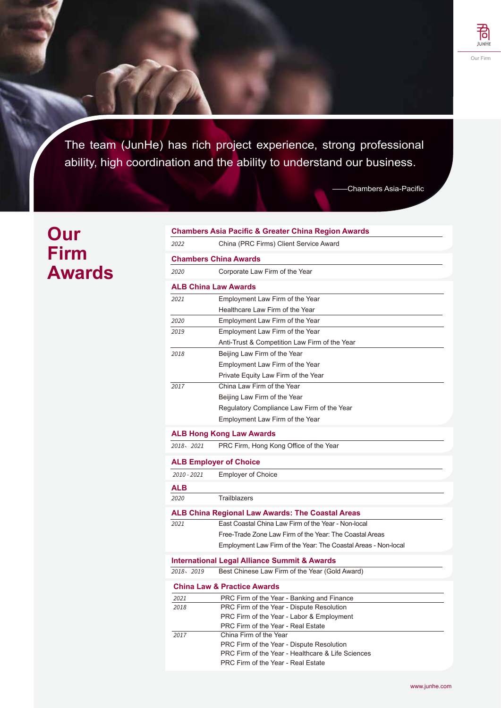

The team (JunHe) has rich project experience, strong professional ability, high coordination and the ability to understand our business.

-Chambers Asia-Pacific

## **Our Firm Awards**

| <b>Chambers Asia Pacific &amp; Greater China Region Awards</b> |                                                                                 |  |  |
|----------------------------------------------------------------|---------------------------------------------------------------------------------|--|--|
| 2022                                                           | China (PRC Firms) Client Service Award                                          |  |  |
| <b>Chambers China Awards</b>                                   |                                                                                 |  |  |
| 2020                                                           | Corporate Law Firm of the Year                                                  |  |  |
| <b>ALB China Law Awards</b>                                    |                                                                                 |  |  |
| 2021                                                           | Employment Law Firm of the Year                                                 |  |  |
|                                                                | Healthcare Law Firm of the Year                                                 |  |  |
| 2020                                                           | Employment Law Firm of the Year                                                 |  |  |
| 2019                                                           | Employment Law Firm of the Year                                                 |  |  |
|                                                                | Anti-Trust & Competition Law Firm of the Year                                   |  |  |
| 2018                                                           | Beijing Law Firm of the Year                                                    |  |  |
|                                                                | Employment Law Firm of the Year                                                 |  |  |
|                                                                | Private Equity Law Firm of the Year                                             |  |  |
| 2017                                                           | China Law Firm of the Year                                                      |  |  |
|                                                                | Beijing Law Firm of the Year                                                    |  |  |
|                                                                | Regulatory Compliance Law Firm of the Year                                      |  |  |
|                                                                | Employment Law Firm of the Year                                                 |  |  |
|                                                                | <b>ALB Hong Kong Law Awards</b>                                                 |  |  |
| 2018、2021                                                      | PRC Firm, Hong Kong Office of the Year                                          |  |  |
| <b>ALB Employer of Choice</b>                                  |                                                                                 |  |  |
| $2010 - 2021$                                                  | <b>Employer of Choice</b>                                                       |  |  |
| <b>ALB</b>                                                     |                                                                                 |  |  |
| 2020                                                           | <b>Trailblazers</b>                                                             |  |  |
| <b>ALB China Regional Law Awards: The Coastal Areas</b>        |                                                                                 |  |  |
| 2021                                                           | East Coastal China Law Firm of the Year - Non-local                             |  |  |
|                                                                | Free-Trade Zone Law Firm of the Year: The Coastal Areas                         |  |  |
|                                                                | Employment Law Firm of the Year: The Coastal Areas - Non-local                  |  |  |
| <b>International Legal Alliance Summit &amp; Awards</b>        |                                                                                 |  |  |
| 2018, 2019                                                     | Best Chinese Law Firm of the Year (Gold Award)                                  |  |  |
|                                                                | <b>China Law &amp; Practice Awards</b>                                          |  |  |
| 2021                                                           | PRC Firm of the Year - Banking and Finance                                      |  |  |
| 2018                                                           | PRC Firm of the Year - Dispute Resolution                                       |  |  |
|                                                                | PRC Firm of the Year - Labor & Employment<br>PRC Firm of the Year - Real Estate |  |  |
| 2017                                                           | China Firm of the Year                                                          |  |  |
|                                                                | PRC Firm of the Year - Dispute Resolution                                       |  |  |
|                                                                | PRC Firm of the Year - Healthcare & Life Sciences                               |  |  |
|                                                                | PRC Firm of the Year - Real Estate                                              |  |  |